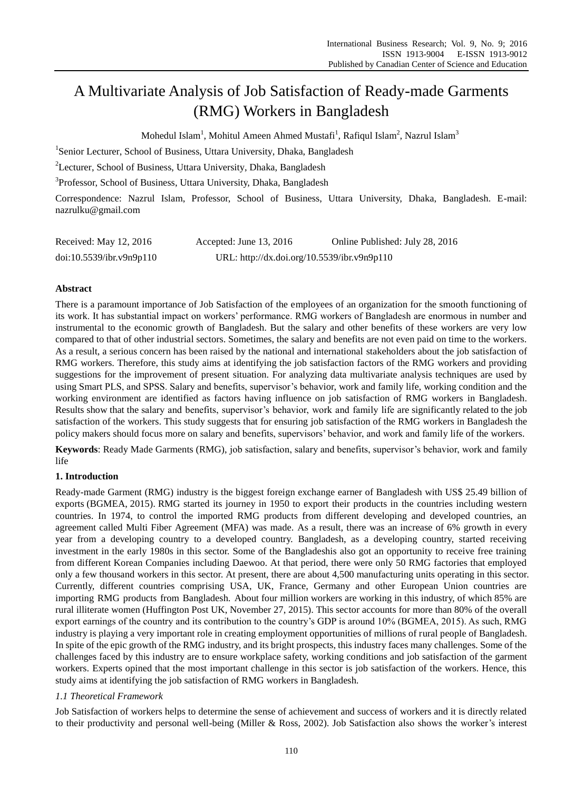# A Multivariate Analysis of Job Satisfaction of Ready-made Garments (RMG) Workers in Bangladesh

Mohedul Islam<sup>1</sup>, Mohitul Ameen Ahmed Mustafi<sup>1</sup>, Rafiqul Islam<sup>2</sup>, Nazrul Islam<sup>3</sup>

<sup>1</sup>Senior Lecturer, School of Business, Uttara University, Dhaka, Bangladesh

<sup>2</sup>Lecturer, School of Business, Uttara University, Dhaka, Bangladesh

<sup>3</sup>Professor, School of Business, Uttara University, Dhaka, Bangladesh

Correspondence: Nazrul Islam, Professor, School of Business, Uttara University, Dhaka, Bangladesh. E-mail: nazrulku@gmail.com

| Received: May 12, 2016   | Accepted: June 13, $2016$                   | Online Published: July 28, 2016 |
|--------------------------|---------------------------------------------|---------------------------------|
| doi:10.5539/ibr.v9n9p110 | URL: http://dx.doi.org/10.5539/ibr.v9n9p110 |                                 |

# **Abstract**

There is a paramount importance of Job Satisfaction of the employees of an organization for the smooth functioning of its work. It has substantial impact on workers' performance. RMG workers of Bangladesh are enormous in number and instrumental to the economic growth of Bangladesh. But the salary and other benefits of these workers are very low compared to that of other industrial sectors. Sometimes, the salary and benefits are not even paid on time to the workers. As a result, a serious concern has been raised by the national and international stakeholders about the job satisfaction of RMG workers. Therefore, this study aims at identifying the job satisfaction factors of the RMG workers and providing suggestions for the improvement of present situation. For analyzing data multivariate analysis techniques are used by using Smart PLS, and SPSS. Salary and benefits, supervisor's behavior, work and family life, working condition and the working environment are identified as factors having influence on job satisfaction of RMG workers in Bangladesh. Results show that the salary and benefits, supervisor's behavior, work and family life are significantly related to the job satisfaction of the workers. This study suggests that for ensuring job satisfaction of the RMG workers in Bangladesh the policy makers should focus more on salary and benefits, supervisors' behavior, and work and family life of the workers.

**Keywords**: Ready Made Garments (RMG), job satisfaction, salary and benefits, supervisor's behavior, work and family life

# **1. Introduction**

Ready-made Garment (RMG) industry is the biggest foreign exchange earner of Bangladesh with US\$ 25.49 billion of exports (BGMEA, 2015). RMG started its journey in 1950 to export their products in the countries including western countries. In 1974, to control the imported RMG products from different developing and developed countries, an agreement called Multi Fiber Agreement (MFA) was made. As a result, there was an increase of 6% growth in every year from a developing country to a developed country. Bangladesh, as a developing country, started receiving investment in the early 1980s in this sector. Some of the Bangladeshis also got an opportunity to receive free training from different Korean Companies including Daewoo. At that period, there were only 50 RMG factories that employed only a few thousand workers in this sector. At present, there are about 4,500 manufacturing units operating in this sector. Currently, different countries comprising USA, UK, France, Germany and other European Union countries are importing RMG products from Bangladesh. About four million workers are working in this industry, of which 85% are rural illiterate women (Huffington Post UK, November 27, 2015). This sector accounts for more than 80% of the overall export earnings of the country and its contribution to the country's GDP is around 10% (BGMEA, 2015). As such, RMG industry is playing a very important role in creating employment opportunities of millions of rural people of Bangladesh. In spite of the epic growth of the RMG industry, and its bright prospects, this industry faces many challenges. Some of the challenges faced by this industry are to ensure workplace safety, working conditions and job satisfaction of the garment workers. Experts opined that the most important challenge in this sector is job satisfaction of the workers. Hence, this study aims at identifying the job satisfaction of RMG workers in Bangladesh.

# *1.1 Theoretical Framework*

Job Satisfaction of workers helps to determine the sense of achievement and success of workers and it is directly related to their productivity and personal well-being (Miller & Ross, 2002). Job Satisfaction also shows the worker's interest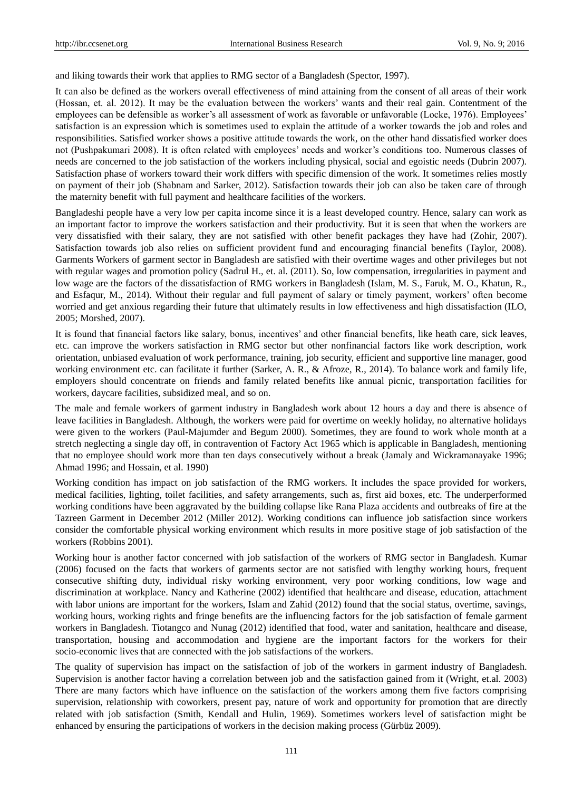and liking towards their work that applies to RMG sector of a Bangladesh (Spector, 1997).

It can also be defined as the workers overall effectiveness of mind attaining from the consent of all areas of their work (Hossan, et. al. 2012). It may be the evaluation between the workers' wants and their real gain. Contentment of the employees can be defensible as worker's all assessment of work as favorable or unfavorable (Locke, 1976). Employees' satisfaction is an expression which is sometimes used to explain the attitude of a worker towards the job and roles and responsibilities. Satisfied worker shows a positive attitude towards the work, on the other hand dissatisfied worker does not (Pushpakumari 2008). It is often related with employees' needs and worker's conditions too. Numerous classes of needs are concerned to the job satisfaction of the workers including physical, social and egoistic needs (Dubrin 2007). Satisfaction phase of workers toward their work differs with specific dimension of the work. It sometimes relies mostly on payment of their job (Shabnam and Sarker, 2012). Satisfaction towards their job can also be taken care of through the maternity benefit with full payment and healthcare facilities of the workers.

Bangladeshi people have a very low per capita income since it is a least developed country. Hence, salary can work as an important factor to improve the workers satisfaction and their productivity. But it is seen that when the workers are very dissatisfied with their salary, they are not satisfied with other benefit packages they have had (Zohir, 2007). Satisfaction towards job also relies on sufficient provident fund and encouraging financial benefits (Taylor, 2008). Garments Workers of garment sector in Bangladesh are satisfied with their overtime wages and other privileges but not with regular wages and promotion policy (Sadrul H., et. al. (2011). So, low compensation, irregularities in payment and low wage are the factors of the dissatisfaction of RMG workers in Bangladesh (Islam, M. S., Faruk, M. O., Khatun, R., and Esfaqur, M., 2014). Without their regular and full payment of salary or timely payment, workers' often become worried and get anxious regarding their future that ultimately results in low effectiveness and high dissatisfaction (ILO, 2005; Morshed, 2007).

It is found that financial factors like salary, bonus, incentives' and other financial benefits, like heath care, sick leaves, etc. can improve the workers satisfaction in RMG sector but other nonfinancial factors like work description, work orientation, unbiased evaluation of work performance, training, job security, efficient and supportive line manager, good working environment etc. can facilitate it further (Sarker, A. R., & Afroze, R., 2014). To balance work and family life, employers should concentrate on friends and family related benefits like annual picnic, transportation facilities for workers, daycare facilities, subsidized meal, and so on.

The male and female workers of garment industry in Bangladesh work about 12 hours a day and there is absence of leave facilities in Bangladesh. Although, the workers were paid for overtime on weekly holiday, no alternative holidays were given to the workers (Paul-Majumder and Begum 2000). Sometimes, they are found to work whole month at a stretch neglecting a single day off, in contravention of Factory Act 1965 which is applicable in Bangladesh, mentioning that no employee should work more than ten days consecutively without a break (Jamaly and Wickramanayake 1996; Ahmad 1996; and Hossain, et al. 1990)

Working condition has impact on job satisfaction of the RMG workers. It includes the space provided for workers, medical facilities, lighting, toilet facilities, and safety arrangements, such as, first aid boxes, etc. The underperformed working conditions have been aggravated by the building collapse like Rana Plaza accidents and outbreaks of fire at the Tazreen Garment in December 2012 (Miller 2012). Working conditions can influence job satisfaction since workers consider the comfortable physical working environment which results in more positive stage of job satisfaction of the workers (Robbins 2001).

Working hour is another factor concerned with job satisfaction of the workers of RMG sector in Bangladesh. Kumar (2006) focused on the facts that workers of garments sector are not satisfied with lengthy working hours, frequent consecutive shifting duty, individual risky working environment, very poor working conditions, low wage and discrimination at workplace. Nancy and Katherine (2002) identified that healthcare and disease, education, attachment with labor unions are important for the workers, Islam and Zahid (2012) found that the social status, overtime, savings, working hours, working rights and fringe benefits are the influencing factors for the job satisfaction of female garment workers in Bangladesh. Tiotangco and Nunag (2012) identified that food, water and sanitation, healthcare and disease, transportation, housing and accommodation and hygiene are the important factors for the workers for their socio-economic lives that are connected with the job satisfactions of the workers.

The quality of supervision has impact on the satisfaction of job of the workers in garment industry of Bangladesh. Supervision is another factor having a correlation between job and the satisfaction gained from it (Wright, et.al. 2003) There are many factors which have influence on the satisfaction of the workers among them five factors comprising supervision, relationship with coworkers, present pay, nature of work and opportunity for promotion that are directly related with job satisfaction (Smith, Kendall and Hulin, 1969). Sometimes workers level of satisfaction might be enhanced by ensuring the participations of workers in the decision making process (Gürbüz 2009).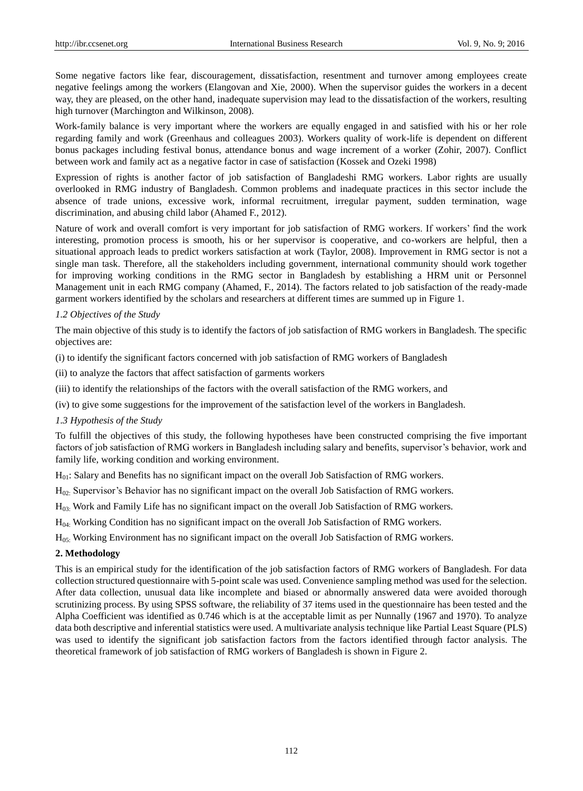Some negative factors like fear, discouragement, dissatisfaction, resentment and turnover among employees create negative feelings among the workers (Elangovan and Xie, 2000). When the supervisor guides the workers in a decent way, they are pleased, on the other hand, inadequate supervision may lead to the dissatisfaction of the workers, resulting high turnover (Marchington and Wilkinson, 2008).

Work-family balance is very important where the workers are equally engaged in and satisfied with his or her role regarding family and work (Greenhaus and colleagues 2003). Workers quality of work-life is dependent on different bonus packages including festival bonus, attendance bonus and wage increment of a worker (Zohir, 2007). Conflict between work and family act as a negative factor in case of satisfaction (Kossek and Ozeki 1998)

Expression of rights is another factor of job satisfaction of Bangladeshi RMG workers. Labor rights are usually overlooked in RMG industry of Bangladesh. Common problems and inadequate practices in this sector include the absence of trade unions, excessive work, informal recruitment, irregular payment, sudden termination, wage discrimination, and abusing child labor (Ahamed F., 2012).

Nature of work and overall comfort is very important for job satisfaction of RMG workers. If workers' find the work interesting, promotion process is smooth, his or her supervisor is cooperative, and co-workers are helpful, then a situational approach leads to predict workers satisfaction at work (Taylor, 2008). Improvement in RMG sector is not a single man task. Therefore, all the stakeholders including government, international community should work together for improving working conditions in the RMG sector in Bangladesh by establishing a HRM unit or Personnel Management unit in each RMG company (Ahamed, F., 2014). The factors related to job satisfaction of the ready-made garment workers identified by the scholars and researchers at different times are summed up in Figure 1.

# *1.2 Objectives of the Study*

The main objective of this study is to identify the factors of job satisfaction of RMG workers in Bangladesh. The specific objectives are:

(i) to identify the significant factors concerned with job satisfaction of RMG workers of Bangladesh

(ii) to analyze the factors that affect satisfaction of garments workers

(iii) to identify the relationships of the factors with the overall satisfaction of the RMG workers, and

(iv) to give some suggestions for the improvement of the satisfaction level of the workers in Bangladesh.

#### *1.3 Hypothesis of the Study*

To fulfill the objectives of this study, the following hypotheses have been constructed comprising the five important factors of job satisfaction of RMG workers in Bangladesh including salary and benefits, supervisor's behavior, work and family life, working condition and working environment.

H01: Salary and Benefits has no significant impact on the overall Job Satisfaction of RMG workers.

 $H<sub>02</sub>$ : Supervisor's Behavior has no significant impact on the overall Job Satisfaction of RMG workers.

H03: Work and Family Life has no significant impact on the overall Job Satisfaction of RMG workers.

H04: Working Condition has no significant impact on the overall Job Satisfaction of RMG workers.

H05: Working Environment has no significant impact on the overall Job Satisfaction of RMG workers.

# **2. Methodology**

This is an empirical study for the identification of the job satisfaction factors of RMG workers of Bangladesh. For data collection structured questionnaire with 5-point scale was used. Convenience sampling method was used for the selection. After data collection, unusual data like incomplete and biased or abnormally answered data were avoided thorough scrutinizing process. By using SPSS software, the reliability of 37 items used in the questionnaire has been tested and the Alpha Coefficient was identified as 0.746 which is at the acceptable limit as per Nunnally (1967 and 1970). To analyze data both descriptive and inferential statistics were used. A multivariate analysis technique like Partial Least Square (PLS) was used to identify the significant job satisfaction factors from the factors identified through factor analysis. The theoretical framework of job satisfaction of RMG workers of Bangladesh is shown in Figure 2.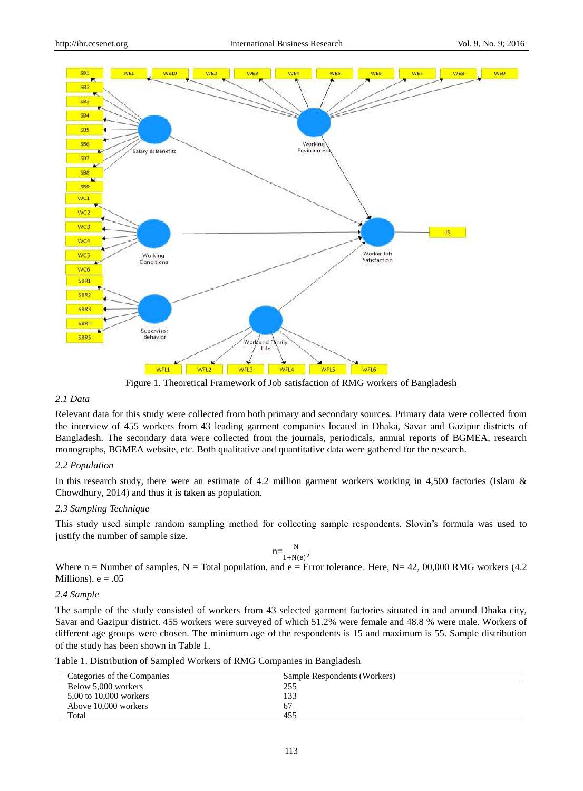

Figure 1. Theoretical Framework of Job satisfaction of RMG workers of Bangladesh

# *2.1 Data*

Relevant data for this study were collected from both primary and secondary sources. Primary data were collected from the interview of 455 workers from 43 leading garment companies located in Dhaka, Savar and Gazipur districts of Bangladesh. The secondary data were collected from the journals, periodicals, annual reports of BGMEA, research monographs, BGMEA website, etc. Both qualitative and quantitative data were gathered for the research.

# *2.2 Population*

In this research study, there were an estimate of 4.2 million garment workers working in 4,500 factories (Islam & Chowdhury, 2014) and thus it is taken as population.

# *2.3 Sampling Technique*

This study used simple random sampling method for collecting sample respondents. Slovin's formula was used to justify the number of sample size.

$$
n = \frac{N}{1 + N(e)^2}
$$

Where  $n =$  Number of samples,  $N =$  Total population, and  $e =$  Error tolerance. Here,  $N = 42, 00,000$  RMG workers (4.2) Millions).  $e = .05$ 

#### *2.4 Sample*

The sample of the study consisted of workers from 43 selected garment factories situated in and around Dhaka city, Savar and Gazipur district. 455 workers were surveyed of which 51.2% were female and 48.8 % were male. Workers of different age groups were chosen. The minimum age of the respondents is 15 and maximum is 55. Sample distribution of the study has been shown in Table 1.

Table 1. Distribution of Sampled Workers of RMG Companies in Bangladesh

| Categories of the Companies | Sample Respondents (Workers) |  |
|-----------------------------|------------------------------|--|
| Below 5,000 workers         | 255                          |  |
| 5,00 to 10,000 workers      | 133                          |  |
| Above 10,000 workers        | 67                           |  |
| Total                       | 455                          |  |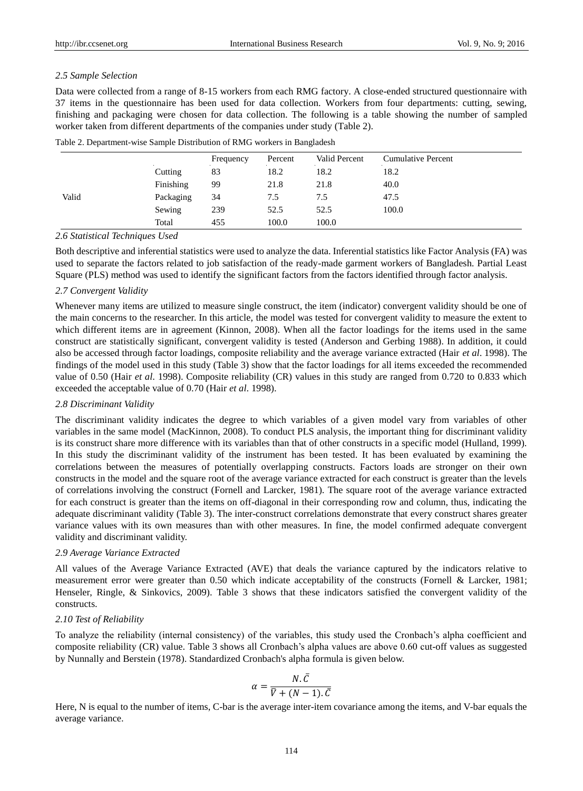### *2.5 Sample Selection*

Data were collected from a range of 8-15 workers from each RMG factory. A close-ended structured questionnaire with 37 items in the questionnaire has been used for data collection. Workers from four departments: cutting, sewing, finishing and packaging were chosen for data collection. The following is a table showing the number of sampled worker taken from different departments of the companies under study (Table 2).

|       |           | Frequency | Percent | Valid Percent | <b>Cumulative Percent</b> |
|-------|-----------|-----------|---------|---------------|---------------------------|
|       | Cutting   | 83        | 18.2    | 18.2          | 18.2                      |
| Valid | Finishing | 99        | 21.8    | 21.8          | 40.0                      |
|       | Packaging | 34        | 7.5     | 7.5           | 47.5                      |
|       | Sewing    | 239       | 52.5    | 52.5          | 100.0                     |
|       | Total     | 455       | 100.0   | 100.0         |                           |

Table 2. Department-wise Sample Distribution of RMG workers in Bangladesh

#### *2.6 Statistical Techniques Used*

Both descriptive and inferential statistics were used to analyze the data. Inferential statistics like Factor Analysis (FA) was used to separate the factors related to job satisfaction of the ready-made garment workers of Bangladesh. Partial Least Square (PLS) method was used to identify the significant factors from the factors identified through factor analysis.

#### *2.7 Convergent Validity*

Whenever many items are utilized to measure single construct, the item (indicator) convergent validity should be one of the main concerns to the researcher. In this article, the model was tested for convergent validity to measure the extent to which different items are in agreement (Kinnon, 2008). When all the factor loadings for the items used in the same construct are statistically significant, convergent validity is tested (Anderson and Gerbing 1988). In addition, it could also be accessed through factor loadings, composite reliability and the average variance extracted (Hair *et al*. 1998). The findings of the model used in this study (Table 3) show that the factor loadings for all items exceeded the recommended value of 0.50 (Hair *et al*. 1998). Composite reliability (CR) values in this study are ranged from 0.720 to 0.833 which exceeded the acceptable value of 0.70 (Hair *et al*. 1998).

#### *2.8 Discriminant Validity*

The discriminant validity indicates the degree to which variables of a given model vary from variables of other variables in the same model (MacKinnon, 2008). To conduct PLS analysis, the important thing for discriminant validity is its construct share more difference with its variables than that of other constructs in a specific model (Hulland, 1999). In this study the discriminant validity of the instrument has been tested. It has been evaluated by examining the correlations between the measures of potentially overlapping constructs. Factors loads are stronger on their own constructs in the model and the square root of the average variance extracted for each construct is greater than the levels of correlations involving the construct (Fornell and Larcker, 1981). The square root of the average variance extracted for each construct is greater than the items on off-diagonal in their corresponding row and column, thus, indicating the adequate discriminant validity (Table 3). The inter-construct correlations demonstrate that every construct shares greater variance values with its own measures than with other measures. In fine, the model confirmed adequate convergent validity and discriminant validity.

#### *2.9 Average Variance Extracted*

All values of the Average Variance Extracted (AVE) that deals the variance captured by the indicators relative to measurement error were greater than 0.50 which indicate acceptability of the constructs (Fornell & Larcker, 1981; Henseler, Ringle, & Sinkovics, 2009). Table 3 shows that these indicators satisfied the convergent validity of the constructs.

# *2.10 Test of Reliability*

To analyze the reliability (internal consistency) of the variables, this study used the Cronbach's alpha coefficient and composite reliability (CR) value. Table 3 shows all Cronbach's alpha values are above 0.60 cut-off values as suggested by Nunnally and Berstein (1978). Standardized Cronbach's alpha formula is given below.

$$
\alpha = \frac{N.\,\bar{C}}{\bar{V} + (N-1).\,\bar{C}}
$$

Here, N is equal to the number of items, C-bar is the average inter-item covariance among the items, and V-bar equals the average variance.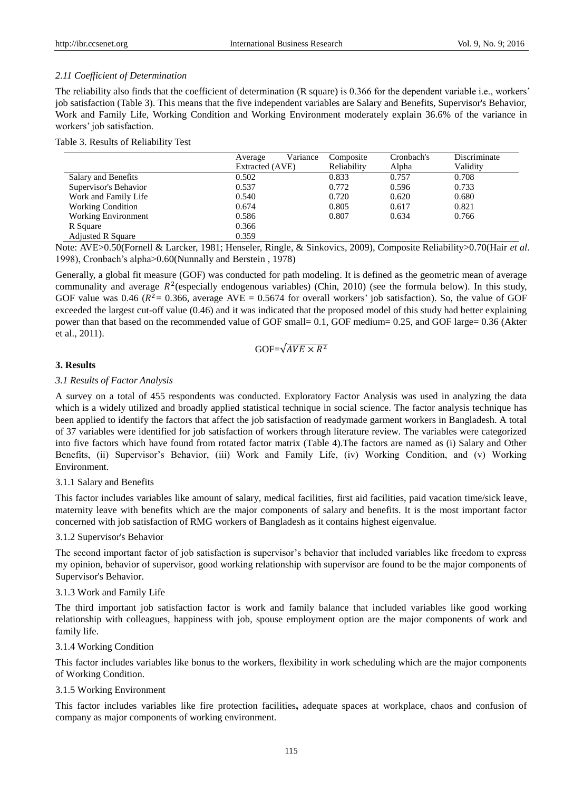# *2.11 Coefficient of Determination*

The reliability also finds that the coefficient of determination (R square) is 0.366 for the dependent variable i.e., workers' job satisfaction (Table 3). This means that the five independent variables are Salary and Benefits, Supervisor's Behavior, Work and Family Life, Working Condition and Working Environment moderately explain 36.6% of the variance in workers' job satisfaction.

Table 3. Results of Reliability Test

|                            | Average         | Variance | Composite   | Cronbach's | Discriminate |
|----------------------------|-----------------|----------|-------------|------------|--------------|
|                            | Extracted (AVE) |          | Reliability | Alpha      | Validity     |
| Salary and Benefits        | 0.502           |          | 0.833       | 0.757      | 0.708        |
| Supervisor's Behavior      | 0.537           |          | 0.772       | 0.596      | 0.733        |
| Work and Family Life       | 0.540           |          | 0.720       | 0.620      | 0.680        |
| <b>Working Condition</b>   | 0.674           |          | 0.805       | 0.617      | 0.821        |
| <b>Working Environment</b> | 0.586           |          | 0.807       | 0.634      | 0.766        |
| R Square                   | 0.366           |          |             |            |              |
| <b>Adjusted R Square</b>   | 0.359           |          |             |            |              |

Note: AVE>0.50(Fornell & Larcker, 1981; Henseler, Ringle, & Sinkovics, 2009), Composite Reliability>0.70(Hair *et al*. 1998), Cronbach's alpha>0.60(Nunnally and Berstein , 1978)

Generally, a global fit measure (GOF) was conducted for path modeling. It is defined as the geometric mean of average communality and average  $R^2$  (especially endogenous variables) (Chin, 2010) (see the formula below). In this study, GOF value was 0.46 ( $R^2$  = 0.366, average AVE = 0.5674 for overall workers' job satisfaction). So, the value of GOF exceeded the largest cut-off value (0.46) and it was indicated that the proposed model of this study had better explaining power than that based on the recommended value of GOF small= 0.1, GOF medium= 0.25, and GOF large= 0.36 (Akter et al., 2011).

$$
GOF=\sqrt{AVE \times R^2}
$$

# **3. Results**

# *3.1 Results of Factor Analysis*

A survey on a total of 455 respondents was conducted. Exploratory Factor Analysis was used in analyzing the data which is a widely utilized and broadly applied statistical technique in social science. The factor analysis technique has been applied to identify the factors that affect the job satisfaction of readymade garment workers in Bangladesh. A total of 37 variables were identified for job satisfaction of workers through literature review. The variables were categorized into five factors which have found from rotated factor matrix (Table 4).The factors are named as (i) Salary and Other Benefits, (ii) Supervisor's Behavior, (iii) Work and Family Life, (iv) Working Condition, and (v) Working Environment.

#### 3.1.1 Salary and Benefits

This factor includes variables like amount of salary, medical facilities, first aid facilities, paid vacation time/sick leave, maternity leave with benefits which are the major components of salary and benefits. It is the most important factor concerned with job satisfaction of RMG workers of Bangladesh as it contains highest eigenvalue.

#### 3.1.2 Supervisor's Behavior

The second important factor of job satisfaction is supervisor's behavior that included variables like freedom to express my opinion, behavior of supervisor, good working relationship with supervisor are found to be the major components of Supervisor's Behavior.

# 3.1.3 Work and Family Life

The third important job satisfaction factor is work and family balance that included variables like good working relationship with colleagues, happiness with job, spouse employment option are the major components of work and family life.

# 3.1.4 Working Condition

This factor includes variables like bonus to the workers, flexibility in work scheduling which are the major components of Working Condition.

#### 3.1.5 Working Environment

This factor includes variables like fire protection facilities**,** adequate spaces at workplace, chaos and confusion of company as major components of working environment.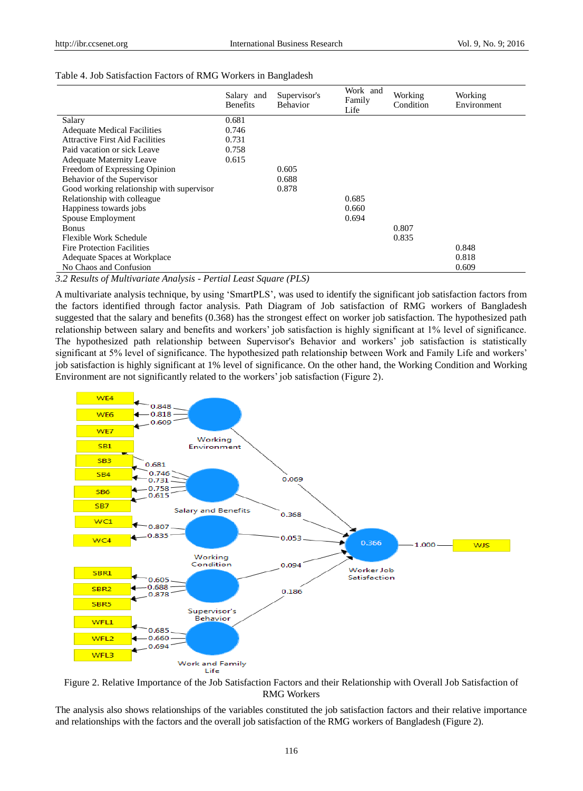|                                           | Salary and<br><b>Benefits</b> | Supervisor's<br><b>Behavior</b> | Work and<br>Family<br>Life | Working<br>Condition | Working<br>Environment |
|-------------------------------------------|-------------------------------|---------------------------------|----------------------------|----------------------|------------------------|
| Salary                                    | 0.681                         |                                 |                            |                      |                        |
| <b>Adequate Medical Facilities</b>        | 0.746                         |                                 |                            |                      |                        |
| <b>Attractive First Aid Facilities</b>    | 0.731                         |                                 |                            |                      |                        |
| Paid vacation or sick Leave               | 0.758                         |                                 |                            |                      |                        |
| <b>Adequate Maternity Leave</b>           | 0.615                         |                                 |                            |                      |                        |
| Freedom of Expressing Opinion             |                               | 0.605                           |                            |                      |                        |
| Behavior of the Supervisor                |                               | 0.688                           |                            |                      |                        |
| Good working relationship with supervisor |                               | 0.878                           |                            |                      |                        |
| Relationship with colleague               |                               |                                 | 0.685                      |                      |                        |
| Happiness towards jobs                    |                               |                                 | 0.660                      |                      |                        |
| Spouse Employment                         |                               |                                 | 0.694                      |                      |                        |
| <b>Bonus</b>                              |                               |                                 |                            | 0.807                |                        |
| Flexible Work Schedule                    |                               |                                 |                            | 0.835                |                        |
| <b>Fire Protection Facilities</b>         |                               |                                 |                            |                      | 0.848                  |
| Adequate Spaces at Workplace              |                               |                                 |                            |                      | 0.818                  |
| No Chaos and Confusion                    |                               |                                 |                            |                      | 0.609                  |

# Table 4. Job Satisfaction Factors of RMG Workers in Bangladesh

*3.2 Results of Multivariate Analysis - Pertial Least Square (PLS)*

A multivariate analysis technique, by using 'SmartPLS', was used to identify the significant job satisfaction factors from the factors identified through factor analysis. Path Diagram of Job satisfaction of RMG workers of Bangladesh suggested that the salary and benefits (0.368) has the strongest effect on worker job satisfaction. The hypothesized path relationship between salary and benefits and workers' job satisfaction is highly significant at 1% level of significance. The hypothesized path relationship between Supervisor's Behavior and workers' job satisfaction is statistically significant at 5% level of significance. The hypothesized path relationship between Work and Family Life and workers' job satisfaction is highly significant at 1% level of significance. On the other hand, the Working Condition and Working Environment are not significantly related to the workers' job satisfaction (Figure 2).



Figure 2. Relative Importance of the Job Satisfaction Factors and their Relationship with Overall Job Satisfaction of RMG Workers

The analysis also shows relationships of the variables constituted the job satisfaction factors and their relative importance and relationships with the factors and the overall job satisfaction of the RMG workers of Bangladesh (Figure 2).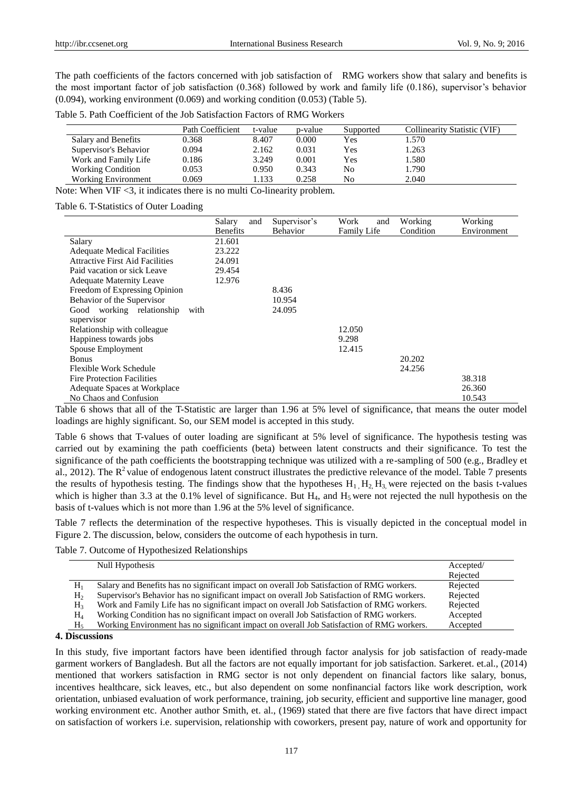The path coefficients of the factors concerned with job satisfaction of RMG workers show that salary and benefits is the most important factor of job satisfaction (0.368) followed by work and family life (0.186), supervisor's behavior (0.094), working environment (0.069) and working condition (0.053) (Table 5).

| Table 5. Path Coefficient of the Job Satisfaction Factors of RMG Workers |
|--------------------------------------------------------------------------|
|--------------------------------------------------------------------------|

|                            | Path Coefficient | t-value | p-value | Supported | Collinearity Statistic (VIF) |
|----------------------------|------------------|---------|---------|-----------|------------------------------|
| Salary and Benefits        | 0.368            | 8.407   | 0.000   | Yes       | 1.570                        |
| Supervisor's Behavior      | 0.094            | 2.162   | 0.031   | Yes       | 1.263                        |
| Work and Family Life       | 0.186            | 3.249   | 0.001   | Yes       | 1.580                        |
| <b>Working Condition</b>   | 0.053            | 0.950   | 0.343   | No        | 1.790                        |
| <b>Working Environment</b> | 0.069            | 1.133   | 0.258   | No        | 2.040                        |

Note: When VIF <3, it indicates there is no multi Co-linearity problem.

|  | Table 6. T-Statistics of Outer Loading |  |  |
|--|----------------------------------------|--|--|
|--|----------------------------------------|--|--|

|                                        | Salary<br>and   | Supervisor's    | Work<br>and | Working   | Working     |
|----------------------------------------|-----------------|-----------------|-------------|-----------|-------------|
|                                        | <b>Benefits</b> | <b>Behavior</b> | Family Life | Condition | Environment |
| Salary                                 | 21.601          |                 |             |           |             |
| <b>Adequate Medical Facilities</b>     | 23.222          |                 |             |           |             |
| <b>Attractive First Aid Facilities</b> | 24.091          |                 |             |           |             |
| Paid vacation or sick Leave            | 29.454          |                 |             |           |             |
| <b>Adequate Maternity Leave</b>        | 12.976          |                 |             |           |             |
| Freedom of Expressing Opinion          |                 | 8.436           |             |           |             |
| Behavior of the Supervisor             |                 | 10.954          |             |           |             |
| Good working relationship<br>with      |                 | 24.095          |             |           |             |
| supervisor                             |                 |                 |             |           |             |
| Relationship with colleague            |                 |                 | 12.050      |           |             |
| Happiness towards jobs                 |                 |                 | 9.298       |           |             |
| Spouse Employment                      |                 |                 | 12.415      |           |             |
| <b>Bonus</b>                           |                 |                 |             | 20.202    |             |
| Flexible Work Schedule                 |                 |                 |             | 24.256    |             |
| <b>Fire Protection Facilities</b>      |                 |                 |             |           | 38.318      |
| Adequate Spaces at Workplace           |                 |                 |             |           | 26.360      |
| No Chaos and Confusion                 |                 |                 |             |           | 10.543      |

Table 6 shows that all of the T-Statistic are larger than 1.96 at 5% level of significance, that means the outer model loadings are highly significant. So, our SEM model is accepted in this study.

Table 6 shows that T-values of outer loading are significant at 5% level of significance. The hypothesis testing was carried out by examining the path coefficients (beta) between latent constructs and their significance. To test the significance of the path coefficients the bootstrapping technique was utilized with a re-sampling of 500 (e.g., Bradley et al., 2012). The  $R^2$  value of endogenous latent construct illustrates the predictive relevance of the model. Table 7 presents the results of hypothesis testing. The findings show that the hypotheses  $H_1$ ,  $H_2$ ,  $H_3$ , were rejected on the basis t-values which is higher than 3.3 at the 0.1% level of significance. But  $H_4$ , and  $H_5$  were not rejected the null hypothesis on the basis of t-values which is not more than 1.96 at the 5% level of significance.

Table 7 reflects the determination of the respective hypotheses. This is visually depicted in the conceptual model in Figure 2. The discussion, below, considers the outcome of each hypothesis in turn.

Table 7. Outcome of Hypothesized Relationships

|                | Null Hypothesis                                                                             | Accepted/ |
|----------------|---------------------------------------------------------------------------------------------|-----------|
|                |                                                                                             | Rejected  |
| $H_1$          | Salary and Benefits has no significant impact on overall Job Satisfaction of RMG workers.   | Rejected  |
| H <sub>2</sub> | Supervisor's Behavior has no significant impact on overall Job Satisfaction of RMG workers. | Rejected  |
| H <sub>3</sub> | Work and Family Life has no significant impact on overall Job Satisfaction of RMG workers.  | Rejected  |
| $\rm{H}_{4}$   | Working Condition has no significant impact on overall Job Satisfaction of RMG workers.     | Accepted  |
| H٢             | Working Environment has no significant impact on overall Job Satisfaction of RMG workers.   | Accepted  |

# **4. Discussions**

In this study, five important factors have been identified through factor analysis for job satisfaction of ready-made garment workers of Bangladesh. But all the factors are not equally important for job satisfaction. Sarkeret. et.al., (2014) mentioned that workers satisfaction in RMG sector is not only dependent on financial factors like salary, bonus, incentives healthcare, sick leaves, etc., but also dependent on some nonfinancial factors like work description, work orientation, unbiased evaluation of work performance, training, job security, efficient and supportive line manager, good working environment etc. Another author Smith, et. al., (1969) stated that there are five factors that have direct impact on satisfaction of workers i.e. supervision, relationship with coworkers, present pay, nature of work and opportunity for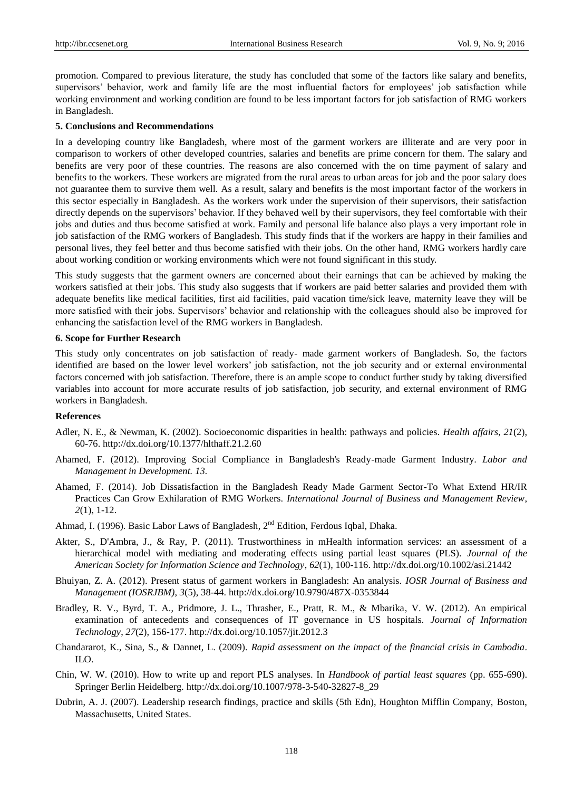promotion. Compared to previous literature, the study has concluded that some of the factors like salary and benefits, supervisors' behavior, work and family life are the most influential factors for employees' job satisfaction while working environment and working condition are found to be less important factors for job satisfaction of RMG workers in Bangladesh.

### **5. Conclusions and Recommendations**

In a developing country like Bangladesh, where most of the garment workers are illiterate and are very poor in comparison to workers of other developed countries, salaries and benefits are prime concern for them. The salary and benefits are very poor of these countries. The reasons are also concerned with the on time payment of salary and benefits to the workers. These workers are migrated from the rural areas to urban areas for job and the poor salary does not guarantee them to survive them well. As a result, salary and benefits is the most important factor of the workers in this sector especially in Bangladesh. As the workers work under the supervision of their supervisors, their satisfaction directly depends on the supervisors' behavior. If they behaved well by their supervisors, they feel comfortable with their jobs and duties and thus become satisfied at work. Family and personal life balance also plays a very important role in job satisfaction of the RMG workers of Bangladesh. This study finds that if the workers are happy in their families and personal lives, they feel better and thus become satisfied with their jobs. On the other hand, RMG workers hardly care about working condition or working environments which were not found significant in this study.

This study suggests that the garment owners are concerned about their earnings that can be achieved by making the workers satisfied at their jobs. This study also suggests that if workers are paid better salaries and provided them with adequate benefits like medical facilities, first aid facilities, paid vacation time/sick leave, maternity leave they will be more satisfied with their jobs. Supervisors' behavior and relationship with the colleagues should also be improved for enhancing the satisfaction level of the RMG workers in Bangladesh.

#### **6. Scope for Further Research**

This study only concentrates on job satisfaction of ready- made garment workers of Bangladesh. So, the factors identified are based on the lower level workers' job satisfaction, not the job security and or external environmental factors concerned with job satisfaction. Therefore, there is an ample scope to conduct further study by taking diversified variables into account for more accurate results of job satisfaction, job security, and external environment of RMG workers in Bangladesh.

#### **References**

- Adler, N. E., & Newman, K. (2002). Socioeconomic disparities in health: pathways and policies. *Health affairs*, *21*(2), 60-76.<http://dx.doi.org/10.1377/hlthaff.21.2.60>
- Ahamed, F. (2012). Improving Social Compliance in Bangladesh's Ready-made Garment Industry. *Labor and Management in Development. 13.*
- Ahamed, F. (2014). Job Dissatisfaction in the Bangladesh Ready Made Garment Sector-To What Extend HR/IR Practices Can Grow Exhilaration of RMG Workers. *International Journal of Business and Management Review*, *2*(1), 1-12.
- Ahmad, I. (1996). Basic Labor Laws of Bangladesh, 2<sup>nd</sup> Edition, Ferdous Iqbal, Dhaka.
- Akter, S., D'Ambra, J., & Ray, P. (2011). Trustworthiness in mHealth information services: an assessment of a hierarchical model with mediating and moderating effects using partial least squares (PLS). *Journal of the American Society for Information Science and Technology*, *62*(1), 100-116.<http://dx.doi.org/10.1002/asi.21442>
- Bhuiyan, Z. A. (2012). Present status of garment workers in Bangladesh: An analysis. *IOSR Journal of Business and Management (IOSRJBM)*, *3*(5), 38-44[. http://dx.doi.org/10.9790/487X-0353844](http://dx.doi.org/10.9790/487X-0353844)
- Bradley, R. V., Byrd, T. A., Pridmore, J. L., Thrasher, E., Pratt, R. M., & Mbarika, V. W. (2012). An empirical examination of antecedents and consequences of IT governance in US hospitals. *Journal of Information Technology*, *27*(2), 156-177.<http://dx.doi.org/10.1057/jit.2012.3>
- Chandararot, K., Sina, S., & Dannet, L. (2009). *Rapid assessment on the impact of the financial crisis in Cambodia*. ILO.
- Chin, W. W. (2010). How to write up and report PLS analyses. In *Handbook of partial least squares* (pp. 655-690). Springer Berlin Heidelberg. [http://dx.doi.org/10.1007/978-3-540-32827-8\\_29](http://dx.doi.org/10.1007/978-3-540-32827-8_29)
- Dubrin, A. J. (2007). Leadership research findings, practice and skills (5th Edn), Houghton Mifflin Company, [Boston,](https://www.google.com/search?client=firefox-b&q=Boston&stick=H4sIAAAAAAAAAOPgE-LUz9U3MK5Myi5Q4gAxDZMr4rW0spOt9POL0hPzMqsSSzLz81A4VhmpiSmFpYlFJalFxQBmtq5oQwAAAA&sa=X&ved=0ahUKEwja3Mf95JPOAhXCv48KHQ2-CcMQmxMInAEoATAQ)  [Massachusetts, United States.](https://www.google.com/search?client=firefox-b&q=Boston&stick=H4sIAAAAAAAAAOPgE-LUz9U3MK5Myi5Q4gAxDZMr4rW0spOt9POL0hPzMqsSSzLz81A4VhmpiSmFpYlFJalFxQBmtq5oQwAAAA&sa=X&ved=0ahUKEwja3Mf95JPOAhXCv48KHQ2-CcMQmxMInAEoATAQ)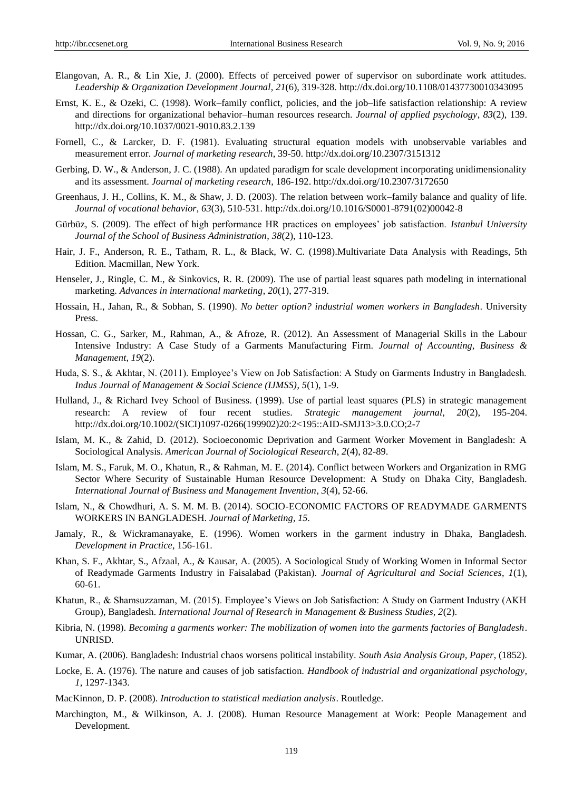- Elangovan, A. R., & Lin Xie, J. (2000). Effects of perceived power of supervisor on subordinate work attitudes. *Leadership & Organization Development Journal*, *21*(6), 319-328[. http://dx.doi.org/10.1108/01437730010343095](http://dx.doi.org/10.1108/01437730010343095)
- Ernst, K. E., & Ozeki, C. (1998). Work–family conflict, policies, and the job–life satisfaction relationship: A review and directions for organizational behavior–human resources research. *Journal of applied psychology*, *83*(2), 139. <http://dx.doi.org/10.1037/0021-9010.83.2.139>
- Fornell, C., & Larcker, D. F. (1981). Evaluating structural equation models with unobservable variables and measurement error. *Journal of marketing research*, 39-50.<http://dx.doi.org/10.2307/3151312>
- Gerbing, D. W., & Anderson, J. C. (1988). An updated paradigm for scale development incorporating unidimensionality and its assessment. *Journal of marketing research*, 186-192[. http://dx.doi.org/10.2307/3172650](http://dx.doi.org/10.2307/3172650)
- Greenhaus, J. H., Collins, K. M., & Shaw, J. D. (2003). The relation between work–family balance and quality of life. *Journal of vocational behavior*, *63*(3), 510-531. [http://dx.doi.org/10.1016/S0001-8791\(02\)00042-8](http://dx.doi.org/10.1016/S0001-8791%2802%2900042-8)
- Gürbüz, S. (2009). The effect of high performance HR practices on employees' job satisfaction. *Istanbul University Journal of the School of Business Administration*, *38*(2), 110-123.
- Hair, J. F., Anderson, R. E., Tatham, R. L., & Black, W. C. (1998).Multivariate Data Analysis with Readings, 5th Edition. Macmillan, New York.
- Henseler, J., Ringle, C. M., & Sinkovics, R. R. (2009). The use of partial least squares path modeling in international marketing. *Advances in international marketing*, *20*(1), 277-319.
- Hossain, H., Jahan, R., & Sobhan, S. (1990). *No better option? industrial women workers in Bangladesh*. University Press.
- Hossan, C. G., Sarker, M., Rahman, A., & Afroze, R. (2012). An Assessment of Managerial Skills in the Labour Intensive Industry: A Case Study of a Garments Manufacturing Firm. *Journal of Accounting, Business & Management*, *19*(2).
- Huda, S. S., & Akhtar, N. (2011). Employee's View on Job Satisfaction: A Study on Garments Industry in Bangladesh. *Indus Journal of Management & Social Science (IJMSS)*, *5*(1), 1-9.
- Hulland, J., & Richard Ivey School of Business. (1999). Use of partial least squares (PLS) in strategic management research: A review of four recent studies. *Strategic management journal*, *20*(2), 195-204. [http://dx.doi.org/10.1002/\(SICI\)1097-0266\(199902\)20:2<195::AID-SMJ13>3.0.CO;2-7](http://dx.doi.org/10.1002/%28SICI%291097-0266%28199902%2920:2%3C195::AID-SMJ13%3E3.0.CO;2-7)
- Islam, M. K., & Zahid, D. (2012). Socioeconomic Deprivation and Garment Worker Movement in Bangladesh: A Sociological Analysis. *American Journal of Sociological Research*, *2*(4), 82-89.
- Islam, M. S., Faruk, M. O., Khatun, R., & Rahman, M. E. (2014). Conflict between Workers and Organization in RMG Sector Where Security of Sustainable Human Resource Development: A Study on Dhaka City, Bangladesh. *International Journal of Business and Management Invention*, *3*(4), 52-66.
- Islam, N., & Chowdhuri, A. S. M. M. B. (2014). SOCIO-ECONOMIC FACTORS OF READYMADE GARMENTS WORKERS IN BANGLADESH. *Journal of Marketing, 15.*
- Jamaly, R., & Wickramanayake, E. (1996). Women workers in the garment industry in Dhaka, Bangladesh. *Development in Practice*, 156-161.
- Khan, S. F., Akhtar, S., Afzaal, A., & Kausar, A. (2005). A Sociological Study of Working Women in Informal Sector of Readymade Garments Industry in Faisalabad (Pakistan). *Journal of Agricultural and Social Sciences*, *1*(1), 60-61.
- Khatun, R., & Shamsuzzaman, M. (2015). Employee's Views on Job Satisfaction: A Study on Garment Industry (AKH Group), Bangladesh. *International Journal of Research in Management & Business Studies, 2*(2).
- Kibria, N. (1998). *Becoming a garments worker: The mobilization of women into the garments factories of Bangladesh*. UNRISD.
- Kumar, A. (2006). Bangladesh: Industrial chaos worsens political instability. *South Asia Analysis Group, Paper*, (1852).
- Locke, E. A. (1976). The nature and causes of job satisfaction. *Handbook of industrial and organizational psychology*, *1*, 1297-1343.
- MacKinnon, D. P. (2008). *Introduction to statistical mediation analysis*. Routledge.
- Marchington, M., & Wilkinson, A. J. (2008). Human Resource Management at Work: People Management and Development.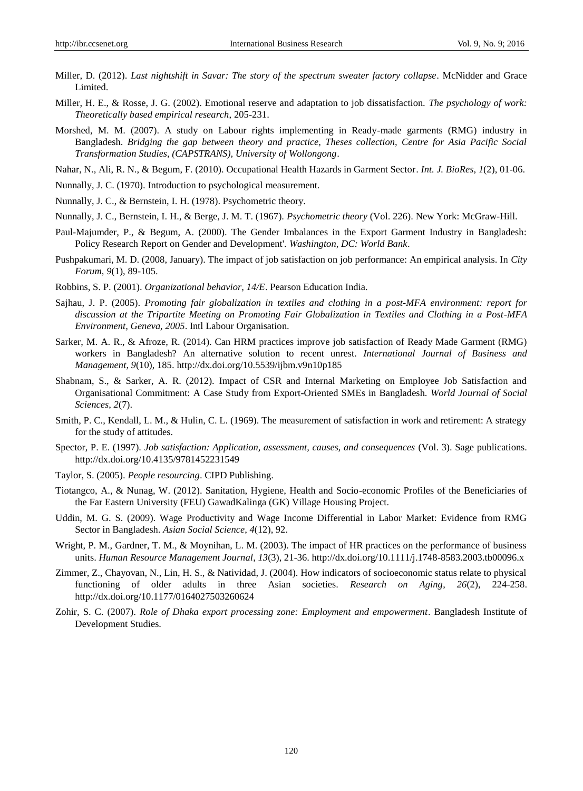- Miller, D. (2012). *Last nightshift in Savar: The story of the spectrum sweater factory collapse*. McNidder and Grace Limited.
- Miller, H. E., & Rosse, J. G. (2002). Emotional reserve and adaptation to job dissatisfaction. *The psychology of work: Theoretically based empirical research*, 205-231.
- Morshed, M. M. (2007). A study on Labour rights implementing in Ready-made garments (RMG) industry in Bangladesh. *Bridging the gap between theory and practice, Theses collection, Centre for Asia Pacific Social Transformation Studies, (CAPSTRANS), University of Wollongong*.
- Nahar, N., Ali, R. N., & Begum, F. (2010). Occupational Health Hazards in Garment Sector. *Int. J. BioRes*, *1*(2), 01-06.
- Nunnally, J. C. (1970). Introduction to psychological measurement.
- Nunnally, J. C., & Bernstein, I. H. (1978). Psychometric theory.
- Nunnally, J. C., Bernstein, I. H., & Berge, J. M. T. (1967). *Psychometric theory* (Vol. 226). New York: McGraw-Hill.
- Paul-Majumder, P., & Begum, A. (2000). The Gender Imbalances in the Export Garment Industry in Bangladesh: Policy Research Report on Gender and Development'. *Washington, DC: World Bank*.
- Pushpakumari, M. D. (2008, January). The impact of job satisfaction on job performance: An empirical analysis. In *City Forum, 9*(1), 89-105.
- Robbins, S. P. (2001). *Organizational behavior, 14/E*. Pearson Education India.
- Sajhau, J. P. (2005). *Promoting fair globalization in textiles and clothing in a post-MFA environment: report for discussion at the Tripartite Meeting on Promoting Fair Globalization in Textiles and Clothing in a Post-MFA Environment, Geneva, 2005*. Intl Labour Organisation.
- Sarker, M. A. R., & Afroze, R. (2014). Can HRM practices improve job satisfaction of Ready Made Garment (RMG) workers in Bangladesh? An alternative solution to recent unrest. *International Journal of Business and Management*, *9*(10), 185[. http://dx.doi.org/10.5539/ijbm.v9n10p185](http://dx.doi.org/10.5539/ijbm.v9n10p185)
- Shabnam, S., & Sarker, A. R. (2012). Impact of CSR and Internal Marketing on Employee Job Satisfaction and Organisational Commitment: A Case Study from Export-Oriented SMEs in Bangladesh. *World Journal of Social Sciences*, *2*(7).
- Smith, P. C., Kendall, L. M., & Hulin, C. L. (1969). The measurement of satisfaction in work and retirement: A strategy for the study of attitudes.
- Spector, P. E. (1997). *Job satisfaction: Application, assessment, causes, and consequences* (Vol. 3). Sage publications. <http://dx.doi.org/10.4135/9781452231549>
- Taylor, S. (2005). *People resourcing*. CIPD Publishing.
- Tiotangco, A., & Nunag, W. (2012). Sanitation, Hygiene, Health and Socio-economic Profiles of the Beneficiaries of the Far Eastern University (FEU) GawadKalinga (GK) Village Housing Project.
- Uddin, M. G. S. (2009). Wage Productivity and Wage Income Differential in Labor Market: Evidence from RMG Sector in Bangladesh. *Asian Social Science*, *4*(12), 92.
- Wright, P. M., Gardner, T. M., & Moynihan, L. M. (2003). The impact of HR practices on the performance of business units. *Human Resource Management Journal*, *13*(3), 21-36[. http://dx.doi.org/10.1111/j.1748-8583.2003.tb00096.x](http://dx.doi.org/10.1111/j.1748-8583.2003.tb00096.x)
- Zimmer, Z., Chayovan, N., Lin, H. S., & Natividad, J. (2004). How indicators of socioeconomic status relate to physical functioning of older adults in three Asian societies. *Research on Aging*, *26*(2), 224-258. <http://dx.doi.org/10.1177/0164027503260624>
- Zohir, S. C. (2007). *Role of Dhaka export processing zone: Employment and empowerment*. Bangladesh Institute of Development Studies.